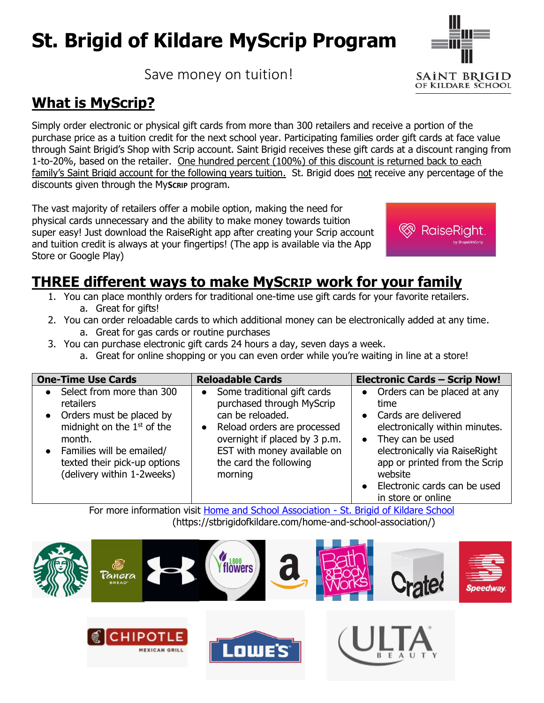# **St. Brigid of Kildare MyScrip Program**

Save money on tuition!

# **What is MyScrip?**

Simply order electronic or physical gift cards from more than 300 retailers and receive a portion of the purchase price as a tuition credit for the next school year. Participating families order gift cards at face value through Saint Brigid's Shop with Scrip account. Saint Brigid receives these gift cards at a discount ranging from 1-to-20%, based on the retailer. One hundred percent (100%) of this discount is returned back to each family's Saint Brigid account for the following years tuition. St. Brigid does not receive any percentage of the discounts given through the My**SCRIP** program.

The vast majority of retailers offer a mobile option, making the need for physical cards unnecessary and the ability to make money towards tuition super easy! Just download the RaiseRight app after creating your Scrip account and tuition credit is always at your fingertips! (The app is available via the App Store or Google Play)

## **THREE different ways to make MySCRIP work for your family**

- 1. You can place monthly orders for traditional one-time use gift cards for your favorite retailers. a. Great for gifts!
- 2. You can order reloadable cards to which additional money can be electronically added at any time. a. Great for gas cards or routine purchases
- 3. You can purchase electronic gift cards 24 hours a day, seven days a week.
	- a. Great for online shopping or you can even order while you're waiting in line at a store!

| <b>One-Time Use Cards</b>                                                                                                                                                                                                | <b>Reloadable Cards</b>                                                                                                                                                                                                       | <b>Electronic Cards - Scrip Now!</b>                                                                                                                                                                                                                             |
|--------------------------------------------------------------------------------------------------------------------------------------------------------------------------------------------------------------------------|-------------------------------------------------------------------------------------------------------------------------------------------------------------------------------------------------------------------------------|------------------------------------------------------------------------------------------------------------------------------------------------------------------------------------------------------------------------------------------------------------------|
| Select from more than 300<br>$\bullet$<br>retailers<br>• Orders must be placed by<br>midnight on the $1st$ of the<br>month.<br>• Families will be emailed/<br>texted their pick-up options<br>(delivery within 1-2weeks) | Some traditional gift cards<br>$\bullet$<br>purchased through MyScrip<br>can be reloaded.<br>Reload orders are processed<br>overnight if placed by 3 p.m.<br>EST with money available on<br>the card the following<br>morning | Orders can be placed at any<br>time<br>Cards are delivered<br>$\bullet$<br>electronically within minutes.<br>They can be used<br>electronically via RaiseRight<br>app or printed from the Scrip<br>website<br>Electronic cards can be used<br>in store or online |

For more information visit [Home and School Association -](https://stbrigidofkildare.com/home-and-school-association/) St. Brigid of Kildare School (https://stbrigidofkildare.com/home-and-school-association/)





OF KILDARE SCHOOL



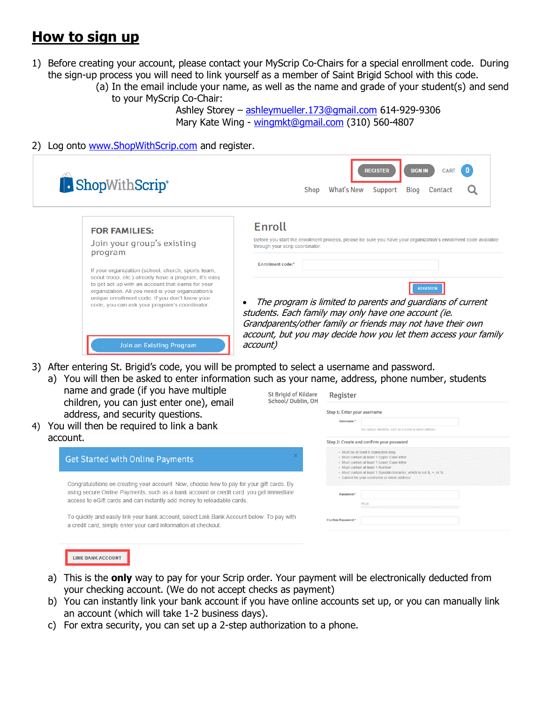### **How to sign up**

- 1) Before creating your account, please contact your MyScrip Co-Chairs for a special enrollment code. During the sign-up process you will need to link yourself as a member of Saint Brigid School with this code.
	- (a) In the email include your name, as well as the name and grade of your student(s) and send to your MyScrip Co-Chair:

Ashley Storey – [ashleymueller.173@gmail.com](mailto:ashleymueller.173@gmail.com) 614-929-9306 Mary Kate Wing - [wingmkt@gmail.com](mailto:wingmkt@gmail.com) (310) 560-4807

2) Log onto [www.ShopWithScrip.com](http://www.shopwithscrip.com/) and register.

| Enroll<br><b>FOR FAMILIES:</b><br>Join your group's existing<br>through your scrip coordinator.<br>program<br><b>Enrollment code:*</b><br>If your organization (school, church, sports team,<br>scout troop, etc.) already have a program, it's easy<br>to get set up with an account that earns for your<br><b>REGISTER</b><br>organization. All you need is your organization's<br>unique enrollment code. If you don't know your<br>code, you can ask your program's coordinator.<br>students. Each family may only have one account (ie. | <b>ShopWithScrip</b> ® | <b>REGISTER</b><br><b>SIGN IN</b><br><b>CART</b><br>What's New<br>Blog<br>Shop<br>Support<br>Contact                                                                                         |
|----------------------------------------------------------------------------------------------------------------------------------------------------------------------------------------------------------------------------------------------------------------------------------------------------------------------------------------------------------------------------------------------------------------------------------------------------------------------------------------------------------------------------------------------|------------------------|----------------------------------------------------------------------------------------------------------------------------------------------------------------------------------------------|
|                                                                                                                                                                                                                                                                                                                                                                                                                                                                                                                                              |                        | Before you start the enrollment process, please be sure you have your organization's enrollment code available                                                                               |
|                                                                                                                                                                                                                                                                                                                                                                                                                                                                                                                                              |                        |                                                                                                                                                                                              |
|                                                                                                                                                                                                                                                                                                                                                                                                                                                                                                                                              |                        | The program is limited to parents and guardians of current<br>Grandparents/other family or friends may not have their own<br>account, but you may decide how you let them access your family |

3) After entering St. Brigid's code, you will be prompted to select a username and password. a) You will then be asked to enter information such as your name, address, phone number, students

- name and grade (if you have multiple children, you can just enter one), email address, and security questions.
- 4) You will then be required to link a bank account.

| <b>Get Started with Online Payments</b>                                                                                                                                                                                                                      |  |
|--------------------------------------------------------------------------------------------------------------------------------------------------------------------------------------------------------------------------------------------------------------|--|
| Congratulations on creating your account. Now, choose how to pay for your gift cards. By<br>using secure Online Payments, such as a bank account or credit card, you get immediate<br>access to eGift cards and can instantly add money to reloadable cards. |  |
| To quickly and easily link your bank account, select Link Bank Account below. To pay with<br>a credit card, simply enter your card information at checkout.                                                                                                  |  |

| St Brigid of Kildare<br>School/Dublin, OH | Register                                                                                                                                                                                                                                                                                      |  |  |
|-------------------------------------------|-----------------------------------------------------------------------------------------------------------------------------------------------------------------------------------------------------------------------------------------------------------------------------------------------|--|--|
|                                           | Step 1: Enter your username                                                                                                                                                                                                                                                                   |  |  |
|                                           | Username:*<br>Any unique identifier, such as a name or email address                                                                                                                                                                                                                          |  |  |
|                                           | Step 2: Create and confirm your password                                                                                                                                                                                                                                                      |  |  |
| ×<br>t cards. By                          | · Must be at least 8 characters long<br>· Must contain at least 1 Upper Case letter<br>· Must contain at least 1 Lower Case letter<br>· Must contain at least 1 Number<br>• Must contain at least 1 Special character, which is not &, =, or %.<br>· Cannot be your username or email address |  |  |
| immediate                                 | Password:*<br>Weak                                                                                                                                                                                                                                                                            |  |  |
| To pay with                               | Confirm Password:*                                                                                                                                                                                                                                                                            |  |  |

|  | LINK BANK ACCOUNT |  |  |
|--|-------------------|--|--|
|--|-------------------|--|--|

- a) This is the **only** way to pay for your Scrip order. Your payment will be electronically deducted from your checking account. (We do not accept checks as payment)
- b) You can instantly link your bank account if you have online accounts set up, or you can manually link an account (which will take 1-2 business days).
- c) For extra security, you can set up a 2-step authorization to a phone.